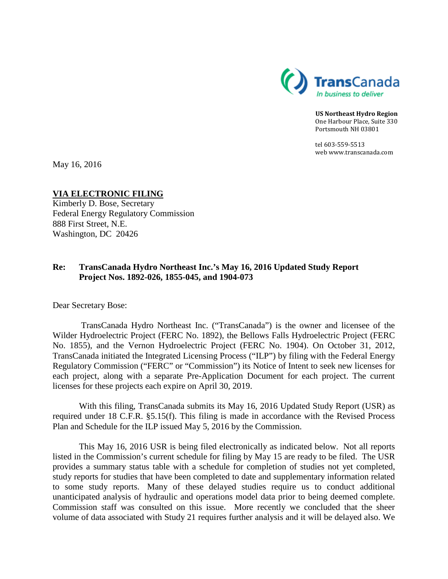

**US Northeast Hydro Region** One Harbour Place, Suite 330 Portsmouth NH 03801

tel 603-559-5513 web www.transcanada.com

May 16, 2016

# **VIA ELECTRONIC FILING**

Kimberly D. Bose, Secretary Federal Energy Regulatory Commission 888 First Street, N.E. Washington, DC 20426

#### **Re: TransCanada Hydro Northeast Inc.'s May 16, 2016 Updated Study Report Project Nos. 1892-026, 1855-045, and 1904-073**

Dear Secretary Bose:

TransCanada Hydro Northeast Inc. ("TransCanada") is the owner and licensee of the Wilder Hydroelectric Project (FERC No. 1892), the Bellows Falls Hydroelectric Project (FERC No. 1855), and the Vernon Hydroelectric Project (FERC No. 1904). On October 31, 2012, TransCanada initiated the Integrated Licensing Process ("ILP") by filing with the Federal Energy Regulatory Commission ("FERC" or "Commission") its Notice of Intent to seek new licenses for each project, along with a separate Pre-Application Document for each project. The current licenses for these projects each expire on April 30, 2019.

With this filing, TransCanada submits its May 16, 2016 Updated Study Report (USR) as required under 18 C.F.R. §5.15(f). This filing is made in accordance with the Revised Process Plan and Schedule for the ILP issued May 5, 2016 by the Commission.

This May 16, 2016 USR is being filed electronically as indicated below. Not all reports listed in the Commission's current schedule for filing by May 15 are ready to be filed. The USR provides a summary status table with a schedule for completion of studies not yet completed, study reports for studies that have been completed to date and supplementary information related to some study reports. Many of these delayed studies require us to conduct additional unanticipated analysis of hydraulic and operations model data prior to being deemed complete. Commission staff was consulted on this issue. More recently we concluded that the sheer volume of data associated with Study 21 requires further analysis and it will be delayed also. We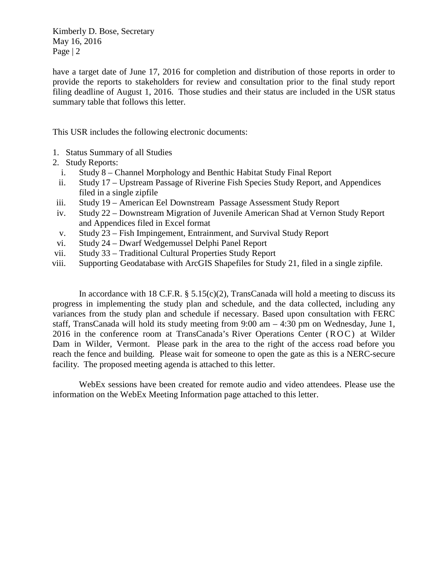Kimberly D. Bose, Secretary May 16, 2016 Page | 2

have a target date of June 17, 2016 for completion and distribution of those reports in order to provide the reports to stakeholders for review and consultation prior to the final study report filing deadline of August 1, 2016. Those studies and their status are included in the USR status summary table that follows this letter.

This USR includes the following electronic documents:

- 1. Status Summary of all Studies
- 2. Study Reports:
	- i. Study 8 Channel Morphology and Benthic Habitat Study Final Report
- ii. Study 17 Upstream Passage of Riverine Fish Species Study Report, and Appendices filed in a single zipfile
- iii. Study 19 American Eel Downstream Passage Assessment Study Report
- iv. Study 22 Downstream Migration of Juvenile American Shad at Vernon Study Report and Appendices filed in Excel format
- v. Study 23 Fish Impingement, Entrainment, and Survival Study Report
- vi. Study 24 Dwarf Wedgemussel Delphi Panel Report
- vii. Study 33 Traditional Cultural Properties Study Report
- viii. Supporting Geodatabase with ArcGIS Shapefiles for Study 21, filed in a single zipfile.

In accordance with 18 C.F.R.  $\S$  5.15(c)(2), TransCanada will hold a meeting to discuss its progress in implementing the study plan and schedule, and the data collected, including any variances from the study plan and schedule if necessary. Based upon consultation with FERC staff, TransCanada will hold its study meeting from  $9:00 \text{ am} - 4:30 \text{ pm}$  on Wednesday, June 1, 2016 in the conference room at TransCanada's River Operations Center (ROC) at Wilder Dam in Wilder, Vermont. Please park in the area to the right of the access road before you reach the fence and building. Please wait for someone to open the gate as this is a NERC-secure facility. The proposed meeting agenda is attached to this letter.

WebEx sessions have been created for remote audio and video attendees. Please use the information on the WebEx Meeting Information page attached to this letter.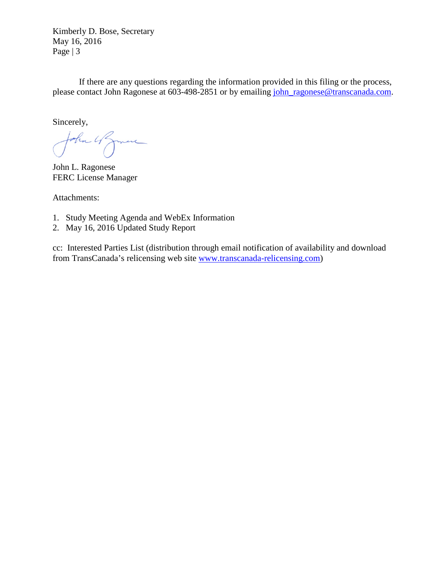Kimberly D. Bose, Secretary May 16, 2016 Page | 3

If there are any questions regarding the information provided in this filing or the process, please contact John Ragonese at 603-498-2851 or by emailing [john\\_ragonese@transcanada.com.](mailto:john_ragonese@transcanada.com)

Sincerely,

John 4 James

John L. Ragonese FERC License Manager

Attachments:

- 1. Study Meeting Agenda and WebEx Information
- 2. May 16, 2016 Updated Study Report

cc: Interested Parties List (distribution through email notification of availability and download from TransCanada's relicensing web site [www.transcanada-relicensing.com\)](http://www.transcanada-relicensing.com/)